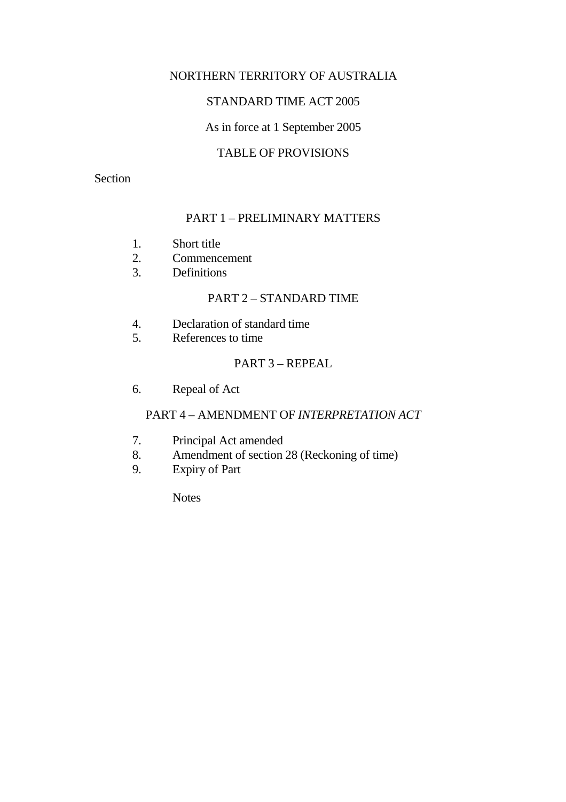## NORTHERN TERRITORY OF AUSTRALIA

## STANDARD TIME ACT 2005

## As in force at 1 September 2005

## TABLE OF PROVISIONS

#### Section

## PART 1 – PRELIMINARY MATTERS

- 1. Short title
- 2. Commencement
- 3. Definitions

### PART 2 – STANDARD TIME

- 4. Declaration of standard time
- 5. References to time

### PART 3 – REPEAL

6. Repeal of Act

## PART 4 – AMENDMENT OF *INTERPRETATION ACT*

- 7. Principal Act amended
- 8. Amendment of section 28 (Reckoning of time)
- 9. Expiry of Part

**Notes**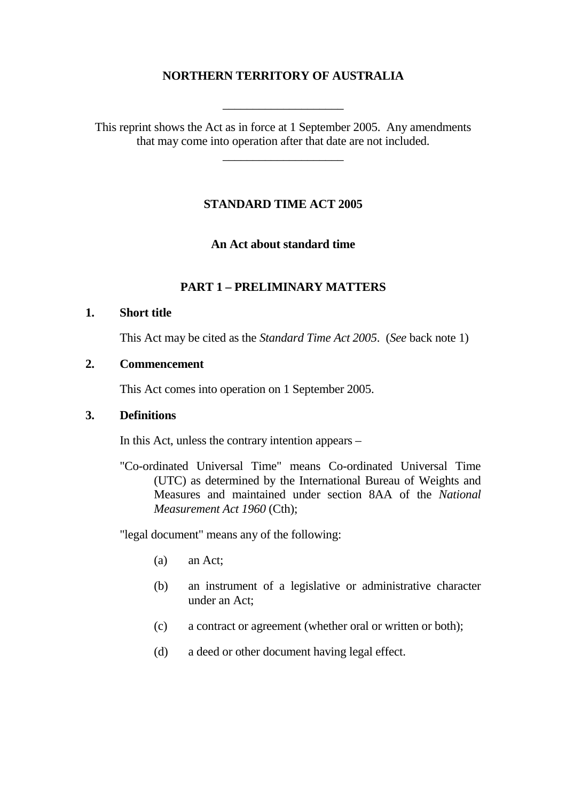## **NORTHERN TERRITORY OF AUSTRALIA**

This reprint shows the Act as in force at 1 September 2005. Any amendments that may come into operation after that date are not included.

\_\_\_\_\_\_\_\_\_\_\_\_\_\_\_\_\_\_\_\_

\_\_\_\_\_\_\_\_\_\_\_\_\_\_\_\_\_\_\_\_

## **STANDARD TIME ACT 2005**

**An Act about standard time** 

## **PART 1 – PRELIMINARY MATTERS**

#### **1. Short title**

This Act may be cited as the *Standard Time Act 2005*. (*See* back note 1)

#### **2. Commencement**

This Act comes into operation on 1 September 2005.

#### **3. Definitions**

In this Act, unless the contrary intention appears –

"Co-ordinated Universal Time" means Co-ordinated Universal Time (UTC) as determined by the International Bureau of Weights and Measures and maintained under section 8AA of the *National Measurement Act 1960* (Cth);

"legal document" means any of the following:

- (a) an Act;
- (b) an instrument of a legislative or administrative character under an Act;
- (c) a contract or agreement (whether oral or written or both);
- (d) a deed or other document having legal effect.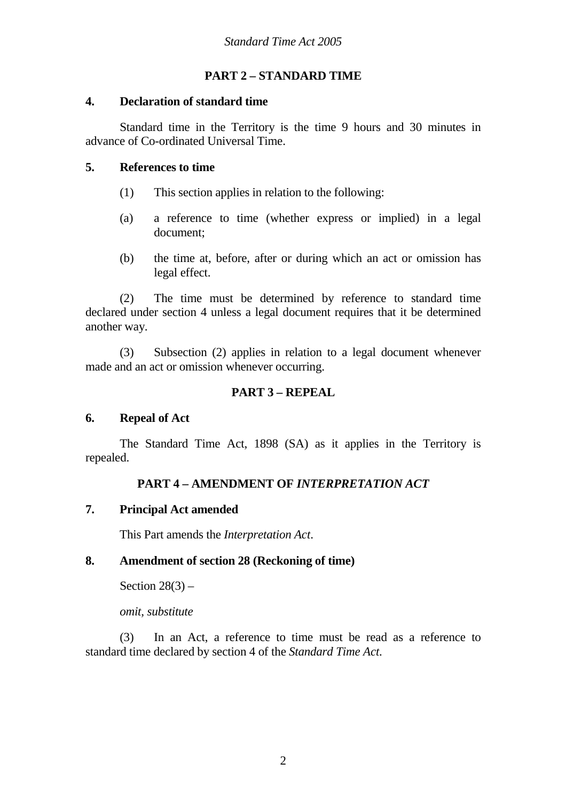## **PART 2 – STANDARD TIME**

### **4. Declaration of standard time**

 Standard time in the Territory is the time 9 hours and 30 minutes in advance of Co-ordinated Universal Time.

## **5. References to time**

- (1) This section applies in relation to the following:
- (a) a reference to time (whether express or implied) in a legal document;
- (b) the time at, before, after or during which an act or omission has legal effect.

(2) The time must be determined by reference to standard time declared under section 4 unless a legal document requires that it be determined another way.

(3) Subsection (2) applies in relation to a legal document whenever made and an act or omission whenever occurring.

## **PART 3 – REPEAL**

## **6. Repeal of Act**

 The Standard Time Act, 1898 (SA) as it applies in the Territory is repealed.

## **PART 4 – AMENDMENT OF** *INTERPRETATION ACT*

## **7. Principal Act amended**

This Part amends the *Interpretation Act*.

## **8. Amendment of section 28 (Reckoning of time)**

Section  $28(3)$  –

 *omit, substitute*

 (3) In an Act, a reference to time must be read as a reference to standard time declared by section 4 of the *Standard Time Act*.